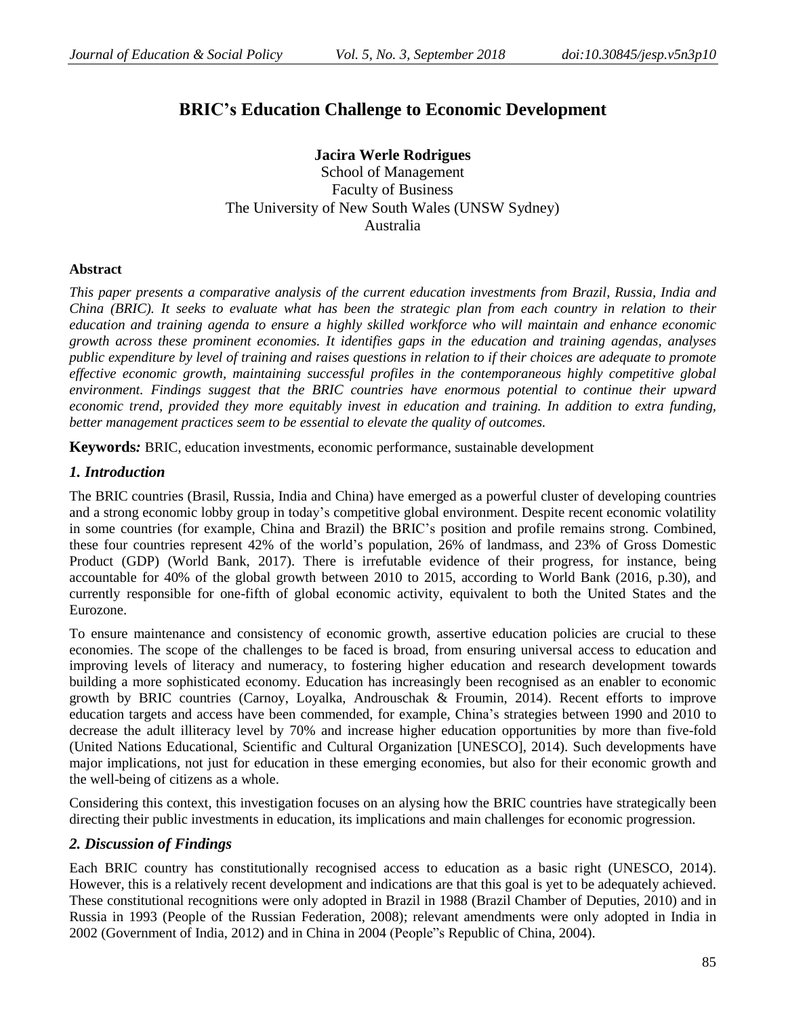# **BRIC's Education Challenge to Economic Development**

**Jacira Werle Rodrigues** School of Management Faculty of Business The University of New South Wales (UNSW Sydney) Australia

#### **Abstract**

*This paper presents a comparative analysis of the current education investments from Brazil, Russia, India and* China (BRIC). It seeks to evaluate what has been the strategic plan from each country in relation to their *education and training agenda to ensure a highly skilled workforce who will maintain and enhance economic growth across these prominent economies. It identifies gaps in the education and training agendas, analyses* public expenditure by level of training and raises questions in relation to if their choices are adequate to promote *effective economic growth, maintaining successful profiles in the contemporaneous highly competitive global environment. Findings suggest that the BRIC countries have enormous potential to continue their upward economic trend, provided they more equitably invest in education and training. In addition to extra funding, better management practices seem to be essential to elevate the quality of outcomes.* 

**Keywords***:* BRIC, education investments, economic performance, sustainable development

## *1. Introduction*

The BRIC countries (Brasil, Russia, India and China) have emerged as a powerful cluster of developing countries and a strong economic lobby group in today's competitive global environment. Despite recent economic volatility in some countries (for example, China and Brazil) the BRIC's position and profile remains strong. Combined, these four countries represent 42% of the world's population, 26% of landmass, and 23% of Gross Domestic Product (GDP) (World Bank, 2017). There is irrefutable evidence of their progress, for instance, being accountable for 40% of the global growth between 2010 to 2015, according to World Bank (2016, p.30), and currently responsible for one-fifth of global economic activity, equivalent to both the United States and the Eurozone.

To ensure maintenance and consistency of economic growth, assertive education policies are crucial to these economies. The scope of the challenges to be faced is broad, from ensuring universal access to education and improving levels of literacy and numeracy, to fostering higher education and research development towards building a more sophisticated economy. Education has increasingly been recognised as an enabler to economic growth by BRIC countries (Carnoy, Loyalka, Androuschak & Froumin, 2014). Recent efforts to improve education targets and access have been commended, for example, China's strategies between 1990 and 2010 to decrease the adult illiteracy level by 70% and increase higher education opportunities by more than five-fold (United Nations Educational, Scientific and Cultural Organization [UNESCO], 2014). Such developments have major implications, not just for education in these emerging economies, but also for their economic growth and the well-being of citizens as a whole.

Considering this context, this investigation focuses on an alysing how the BRIC countries have strategically been directing their public investments in education, its implications and main challenges for economic progression.

## *2. Discussion of Findings*

Each BRIC country has constitutionally recognised access to education as a basic right (UNESCO, 2014). However, this is a relatively recent development and indications are that this goal is yet to be adequately achieved. These constitutional recognitions were only adopted in Brazil in 1988 (Brazil Chamber of Deputies, 2010) and in Russia in 1993 (People of the Russian Federation, 2008); relevant amendments were only adopted in India in 2002 (Government of India, 2012) and in China in 2004 (People"s Republic of China, 2004).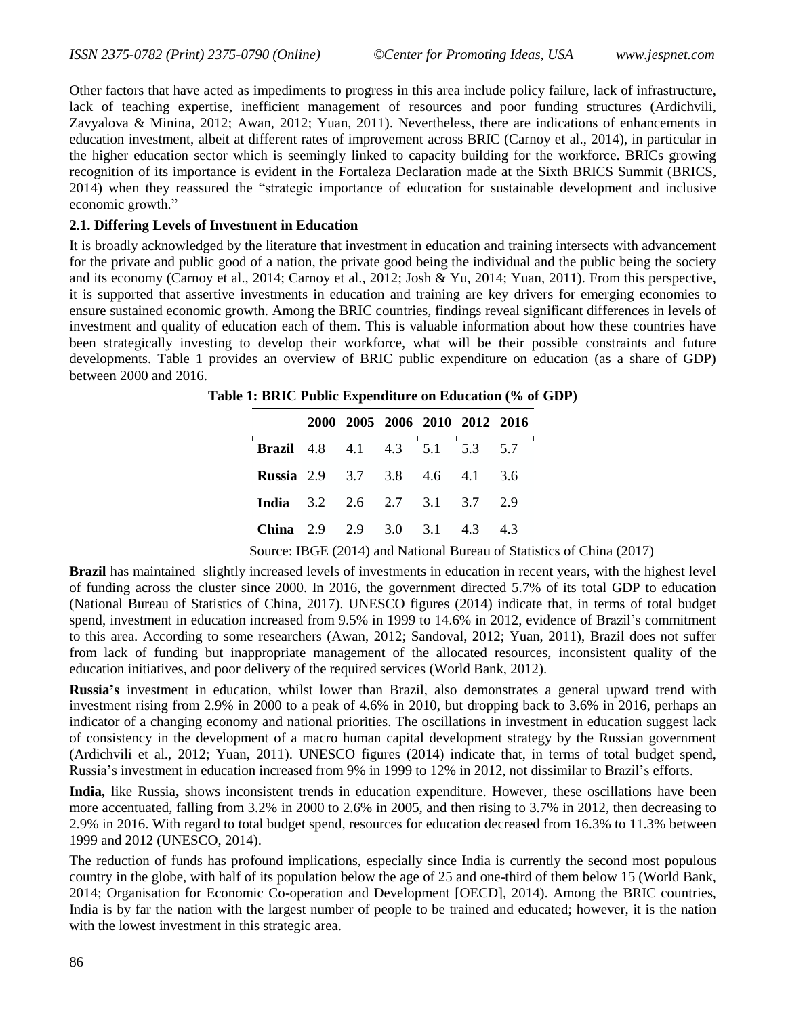Other factors that have acted as impediments to progress in this area include policy failure, lack of infrastructure, lack of teaching expertise, inefficient management of resources and poor funding structures (Ardichvili, Zavyalova & Minina, 2012; Awan, 2012; Yuan, 2011). Nevertheless, there are indications of enhancements in education investment, albeit at different rates of improvement across BRIC (Carnoy et al., 2014), in particular in the higher education sector which is seemingly linked to capacity building for the workforce. BRICs growing recognition of its importance is evident in the Fortaleza Declaration made at the Sixth BRICS Summit (BRICS, 2014) when they reassured the "strategic importance of education for sustainable development and inclusive economic growth."

#### **2.1. Differing Levels of Investment in Education**

It is broadly acknowledged by the literature that investment in education and training intersects with advancement for the private and public good of a nation, the private good being the individual and the public being the society and its economy (Carnoy et al., 2014; Carnoy et al., 2012; Josh & Yu, 2014; Yuan, 2011). From this perspective, it is supported that assertive investments in education and training are key drivers for emerging economies to ensure sustained economic growth. Among the BRIC countries, findings reveal significant differences in levels of investment and quality of education each of them. This is valuable information about how these countries have been strategically investing to develop their workforce, what will be their possible constraints and future developments. Table 1 provides an overview of BRIC public expenditure on education (as a share of GDP) between 2000 and 2016.

**Table 1: BRIC Public Expenditure on Education (% of GDP)**

|                                       |  | 2000 2005 2006 2010 2012 2016 |  |      |
|---------------------------------------|--|-------------------------------|--|------|
| <b>Brazil</b> 4.8 4.1 4.3 5.1 5.3 5.7 |  |                               |  |      |
| <b>Russia</b> 2.9 3.7 3.8 4.6 4.1 3.6 |  |                               |  |      |
| <b>India</b> 3.2 2.6 2.7 3.1 3.7 2.9  |  |                               |  |      |
| <b>China</b> 2.9 2.9 3.0 3.1 4.3      |  |                               |  | -4.3 |

Source: IBGE (2014) and National Bureau of Statistics of China (2017)

**Brazil** has maintained slightly increased levels of investments in education in recent years, with the highest level of funding across the cluster since 2000. In 2016, the government directed 5.7% of its total GDP to education (National Bureau of Statistics of China, 2017). UNESCO figures (2014) indicate that, in terms of total budget spend, investment in education increased from 9.5% in 1999 to 14.6% in 2012, evidence of Brazil's commitment to this area. According to some researchers (Awan, 2012; Sandoval, 2012; Yuan, 2011), Brazil does not suffer from lack of funding but inappropriate management of the allocated resources, inconsistent quality of the education initiatives, and poor delivery of the required services (World Bank, 2012).

**Russia's** investment in education, whilst lower than Brazil, also demonstrates a general upward trend with investment rising from 2.9% in 2000 to a peak of 4.6% in 2010, but dropping back to 3.6% in 2016, perhaps an indicator of a changing economy and national priorities. The oscillations in investment in education suggest lack of consistency in the development of a macro human capital development strategy by the Russian government (Ardichvili et al., 2012; Yuan, 2011). UNESCO figures (2014) indicate that, in terms of total budget spend, Russia's investment in education increased from 9% in 1999 to 12% in 2012, not dissimilar to Brazil's efforts.

**India,** like Russia**,** shows inconsistent trends in education expenditure. However, these oscillations have been more accentuated, falling from 3.2% in 2000 to 2.6% in 2005, and then rising to 3.7% in 2012, then decreasing to 2.9% in 2016. With regard to total budget spend, resources for education decreased from 16.3% to 11.3% between 1999 and 2012 (UNESCO, 2014).

The reduction of funds has profound implications, especially since India is currently the second most populous country in the globe, with half of its population below the age of 25 and one-third of them below 15 (World Bank, 2014; Organisation for Economic Co-operation and Development [OECD], 2014). Among the BRIC countries, India is by far the nation with the largest number of people to be trained and educated; however, it is the nation with the lowest investment in this strategic area.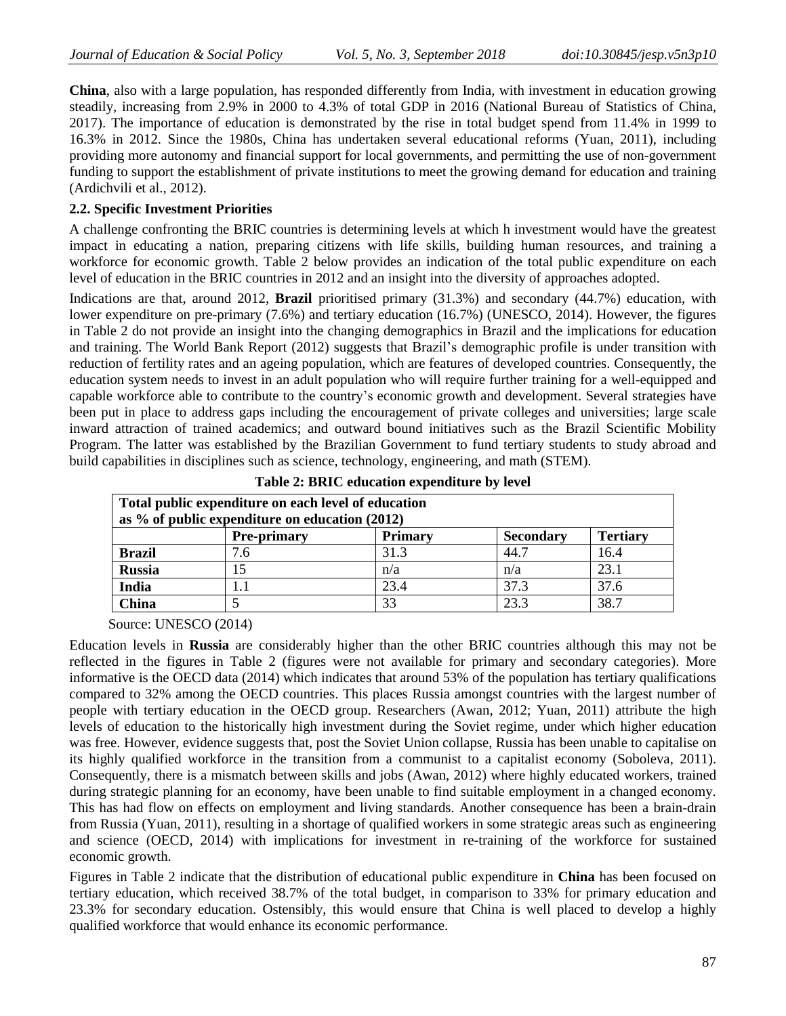**China**, also with a large population, has responded differently from India, with investment in education growing steadily, increasing from 2.9% in 2000 to 4.3% of total GDP in 2016 (National Bureau of Statistics of China, 2017). The importance of education is demonstrated by the rise in total budget spend from 11.4% in 1999 to 16.3% in 2012. Since the 1980s, China has undertaken several educational reforms (Yuan, 2011), including providing more autonomy and financial support for local governments, and permitting the use of non-government funding to support the establishment of private institutions to meet the growing demand for education and training (Ardichvili et al., 2012).

### **2.2. Specific Investment Priorities**

A challenge confronting the BRIC countries is determining levels at which h investment would have the greatest impact in educating a nation, preparing citizens with life skills, building human resources, and training a workforce for economic growth. Table 2 below provides an indication of the total public expenditure on each level of education in the BRIC countries in 2012 and an insight into the diversity of approaches adopted.

Indications are that, around 2012, **Brazil** prioritised primary (31.3%) and secondary (44.7%) education, with lower expenditure on pre-primary (7.6%) and tertiary education (16.7%) (UNESCO, 2014). However, the figures in Table 2 do not provide an insight into the changing demographics in Brazil and the implications for education and training. The World Bank Report (2012) suggests that Brazil's demographic profile is under transition with reduction of fertility rates and an ageing population, which are features of developed countries. Consequently, the education system needs to invest in an adult population who will require further training for a well-equipped and capable workforce able to contribute to the country's economic growth and development. Several strategies have been put in place to address gaps including the encouragement of private colleges and universities; large scale inward attraction of trained academics; and outward bound initiatives such as the Brazil Scientific Mobility Program. The latter was established by the Brazilian Government to fund tertiary students to study abroad and build capabilities in disciplines such as science, technology, engineering, and math (STEM).

| Total public expenditure on each level of education<br>as $\%$ of public expenditure on education (2012) |                    |                |                  |                 |  |  |  |  |
|----------------------------------------------------------------------------------------------------------|--------------------|----------------|------------------|-----------------|--|--|--|--|
|                                                                                                          | <b>Pre-primary</b> | <b>Primary</b> | <b>Secondary</b> | <b>Tertiary</b> |  |  |  |  |
| <b>Brazil</b>                                                                                            | 7.6                | 31.3           | 44.7             | 16.4            |  |  |  |  |
| <b>Russia</b>                                                                                            | 15                 | n/a            | n/a              | 23.1            |  |  |  |  |
| India                                                                                                    |                    | 23.4           | 37.3             | 37.6            |  |  |  |  |
| China                                                                                                    |                    | 33             | 23.3             | 38.7            |  |  |  |  |

**Source: UNESCO (2014)** 

Education levels in **Russia** are considerably higher than the other BRIC countries although this may not be reflected in the figures in Table 2 (figures were not available for primary and secondary categories). More informative is the OECD data (2014) which indicates that around 53% of the population has tertiary qualifications compared to 32% among the OECD countries. This places Russia amongst countries with the largest number of people with tertiary education in the OECD group. Researchers (Awan, 2012; Yuan, 2011) attribute the high levels of education to the historically high investment during the Soviet regime, under which higher education was free. However, evidence suggests that, post the Soviet Union collapse, Russia has been unable to capitalise on its highly qualified workforce in the transition from a communist to a capitalist economy (Soboleva, 2011). Consequently, there is a mismatch between skills and jobs (Awan, 2012) where highly educated workers, trained during strategic planning for an economy, have been unable to find suitable employment in a changed economy. This has had flow on effects on employment and living standards. Another consequence has been a brain-drain from Russia (Yuan, 2011), resulting in a shortage of qualified workers in some strategic areas such as engineering and science (OECD, 2014) with implications for investment in re-training of the workforce for sustained economic growth.

Figures in Table 2 indicate that the distribution of educational public expenditure in **China** has been focused on tertiary education, which received 38.7% of the total budget, in comparison to 33% for primary education and 23.3% for secondary education. Ostensibly, this would ensure that China is well placed to develop a highly qualified workforce that would enhance its economic performance.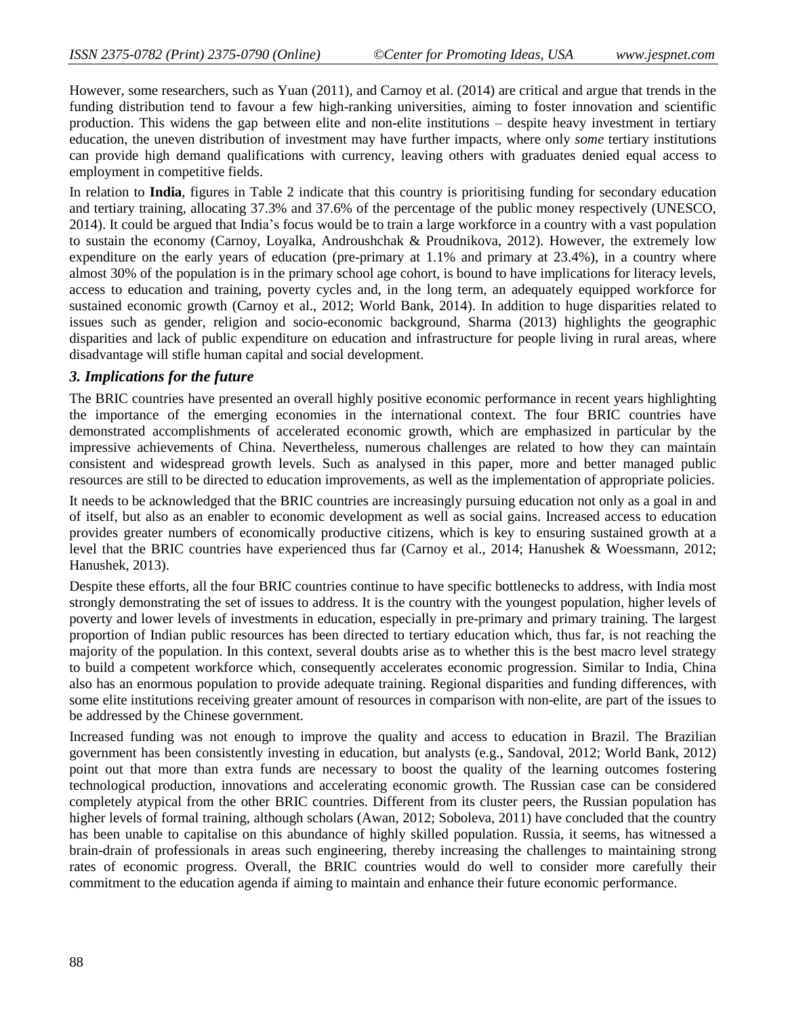However, some researchers, such as Yuan (2011), and Carnoy et al. (2014) are critical and argue that trends in the funding distribution tend to favour a few high-ranking universities, aiming to foster innovation and scientific production. This widens the gap between elite and non-elite institutions – despite heavy investment in tertiary education, the uneven distribution of investment may have further impacts, where only *some* tertiary institutions can provide high demand qualifications with currency, leaving others with graduates denied equal access to employment in competitive fields.

In relation to **India**, figures in Table 2 indicate that this country is prioritising funding for secondary education and tertiary training, allocating 37.3% and 37.6% of the percentage of the public money respectively (UNESCO, 2014). It could be argued that India's focus would be to train a large workforce in a country with a vast population to sustain the economy (Carnoy, Loyalka, Androushchak & Proudnikova, 2012). However, the extremely low expenditure on the early years of education (pre-primary at 1.1% and primary at 23.4%), in a country where almost 30% of the population is in the primary school age cohort, is bound to have implications for literacy levels, access to education and training, poverty cycles and, in the long term, an adequately equipped workforce for sustained economic growth (Carnoy et al., 2012; World Bank, 2014). In addition to huge disparities related to issues such as gender, religion and socio-economic background, Sharma (2013) highlights the geographic disparities and lack of public expenditure on education and infrastructure for people living in rural areas, where disadvantage will stifle human capital and social development.

#### *3. Implications for the future*

The BRIC countries have presented an overall highly positive economic performance in recent years highlighting the importance of the emerging economies in the international context. The four BRIC countries have demonstrated accomplishments of accelerated economic growth, which are emphasized in particular by the impressive achievements of China. Nevertheless, numerous challenges are related to how they can maintain consistent and widespread growth levels. Such as analysed in this paper, more and better managed public resources are still to be directed to education improvements, as well as the implementation of appropriate policies.

It needs to be acknowledged that the BRIC countries are increasingly pursuing education not only as a goal in and of itself, but also as an enabler to economic development as well as social gains. Increased access to education provides greater numbers of economically productive citizens, which is key to ensuring sustained growth at a level that the BRIC countries have experienced thus far (Carnoy et al., 2014; Hanushek & Woessmann, 2012; Hanushek, 2013).

Despite these efforts, all the four BRIC countries continue to have specific bottlenecks to address, with India most strongly demonstrating the set of issues to address. It is the country with the youngest population, higher levels of poverty and lower levels of investments in education, especially in pre-primary and primary training. The largest proportion of Indian public resources has been directed to tertiary education which, thus far, is not reaching the majority of the population. In this context, several doubts arise as to whether this is the best macro level strategy to build a competent workforce which, consequently accelerates economic progression. Similar to India, China also has an enormous population to provide adequate training. Regional disparities and funding differences, with some elite institutions receiving greater amount of resources in comparison with non-elite, are part of the issues to be addressed by the Chinese government.

Increased funding was not enough to improve the quality and access to education in Brazil. The Brazilian government has been consistently investing in education, but analysts (e.g., Sandoval, 2012; World Bank, 2012) point out that more than extra funds are necessary to boost the quality of the learning outcomes fostering technological production, innovations and accelerating economic growth. The Russian case can be considered completely atypical from the other BRIC countries. Different from its cluster peers, the Russian population has higher levels of formal training, although scholars (Awan, 2012; Soboleva, 2011) have concluded that the country has been unable to capitalise on this abundance of highly skilled population. Russia, it seems, has witnessed a brain-drain of professionals in areas such engineering, thereby increasing the challenges to maintaining strong rates of economic progress. Overall, the BRIC countries would do well to consider more carefully their commitment to the education agenda if aiming to maintain and enhance their future economic performance.